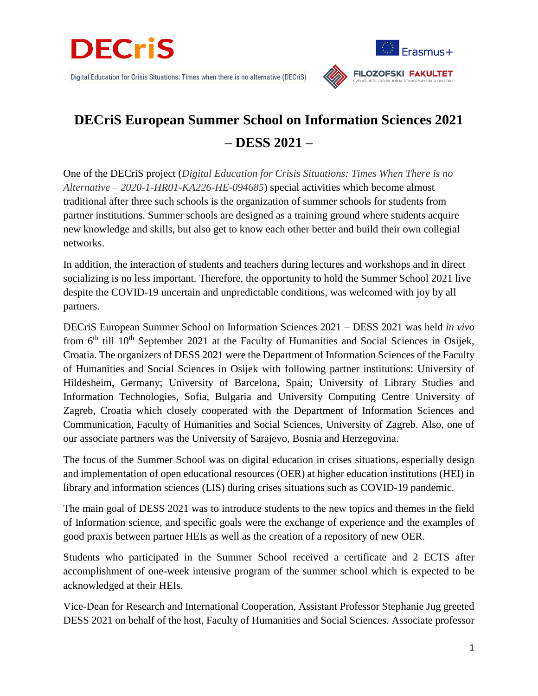



## **DECriS European Summer School on Information Sciences 2021 – DESS 2021 –**

One of the DECriS project (*Digital Education for Crisis Situations: Times When There is no Alternative – 2020-1-HR01-KA226-HE-094685*) special activities which become almost traditional after three such schools is the organization of summer schools for students from partner institutions. Summer schools are designed as a training ground where students acquire new knowledge and skills, but also get to know each other better and build their own collegial networks.

In addition, the interaction of students and teachers during lectures and workshops and in direct socializing is no less important. Therefore, the opportunity to hold the Summer School 2021 live despite the COVID-19 uncertain and unpredictable conditions, was welcomed with joy by all partners.

DECriS European Summer School on Information Sciences 2021 – DESS 2021 was held *in vivo* from  $6<sup>th</sup>$  till  $10<sup>th</sup>$  September 2021 at the Faculty of Humanities and Social Sciences in Osijek, Croatia. The organizers of DESS 2021 were the Department of Information Sciences of the Faculty of Humanities and Social Sciences in Osijek with following partner institutions: University of Hildesheim, Germany; University of Barcelona, Spain; University of Library Studies and Information Technologies, Sofia, Bulgaria and University Computing Centre University of Zagreb, Croatia which closely cooperated with the Department of Information Sciences and Communication, Faculty of Humanities and Social Sciences, University of Zagreb. Also, one of our associate partners was the University of Sarajevo, Bosnia and Herzegovina.

The focus of the Summer School was on digital education in crises situations, especially design and implementation of open educational resources (OER) at higher education institutions (HEI) in library and information sciences (LIS) during crises situations such as COVID-19 pandemic.

The main goal of DESS 2021 was to introduce students to the new topics and themes in the field of Information science, and specific goals were the exchange of experience and the examples of good praxis between partner HEIs as well as the creation of a repository of new OER.

Students who participated in the Summer School received a certificate and 2 ECTS after accomplishment of one-week intensive program of the summer school which is expected to be acknowledged at their HEIs.

Vice-Dean for Research and International Cooperation, Assistant Professor Stephanie Jug greeted DESS 2021 on behalf of the host, Faculty of Humanities and Social Sciences. Associate professor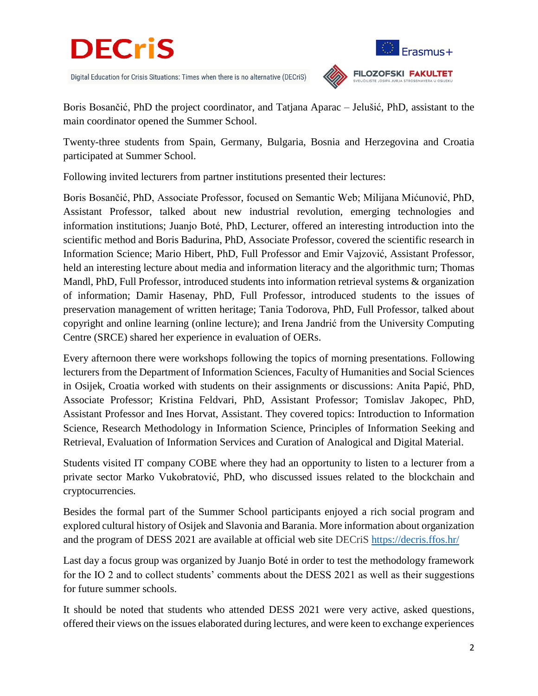

Digital Education for Crisis Situations: Times when there is no alternative (DECriS)



**FILOZOFSKI FAKULTET** 

Boris Bosančić, PhD the project coordinator, and Tatjana Aparac – Jelušić, PhD, assistant to the main coordinator opened the Summer School.

Twenty-three students from Spain, Germany, Bulgaria, Bosnia and Herzegovina and Croatia participated at Summer School.

Following invited lecturers from partner institutions presented their lectures:

Boris Bosančić, PhD, Associate Professor, focused on Semantic Web; Milijana Mićunović, PhD, Assistant Professor, talked about new industrial revolution, emerging technologies and information institutions; Juanjo Boté, PhD, Lecturer, offered an interesting introduction into the scientific method and Boris Badurina, PhD, Associate Professor, covered the scientific research in Information Science; Mario Hibert, PhD, Full Professor and Emir Vajzović, Assistant Professor, held an interesting lecture about media and information literacy and the algorithmic turn; Thomas Mandl, PhD, Full Professor, introduced students into information retrieval systems & organization of information; Damir Hasenay, PhD, Full Professor, introduced students to the issues of preservation management of written heritage; Tania Todorova, PhD, Full Professor, talked about copyright and online learning (online lecture); and Irena Jandrić from the University Computing Centre (SRCE) shared her experience in evaluation of OERs.

Every afternoon there were workshops following the topics of morning presentations. Following lecturers from the Department of Information Sciences, Faculty of Humanities and Social Sciences in Osijek, Croatia worked with students on their assignments or discussions: Anita Papić, PhD, Associate Professor; Kristina Feldvari, PhD, Assistant Professor; Tomislav Jakopec, PhD, Assistant Professor and Ines Horvat, Assistant. They covered topics: Introduction to Information Science, Research Methodology in Information Science, Principles of Information Seeking and Retrieval, Evaluation of Information Services and Curation of Analogical and Digital Material.

Students visited IT company COBE where they had an opportunity to listen to a lecturer from a private sector Marko Vukobratović, PhD, who discussed issues related to the blockchain and cryptocurrencies*.*

Besides the formal part of the Summer School participants enjoyed a rich social program and explored cultural history of Osijek and Slavonia and Barania. More information about organization and the program of DESS 2021 are available at official web site DECriS <https://decris.ffos.hr/>

Last day a focus group was organized by Juanjo Boté in order to test the methodology framework for the IO 2 and to collect students' comments about the DESS 2021 as well as their suggestions for future summer schools.

It should be noted that students who attended DESS 2021 were very active, asked questions, offered their views on the issues elaborated during lectures, and were keen to exchange experiences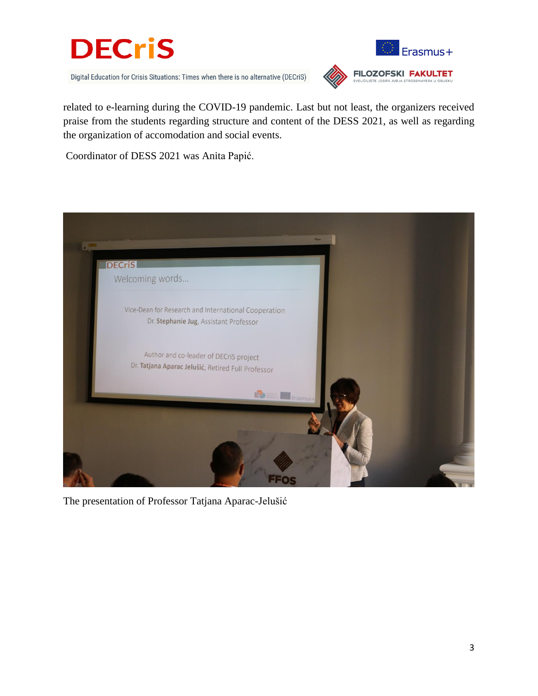

Digital Education for Crisis Situations: Times when there is no alternative (DECriS)



related to e-learning during the COVID-19 pandemic. Last but not least, the organizers received praise from the students regarding structure and content of the DESS 2021, as well as regarding the organization of accomodation and social events.

Coordinator of DESS 2021 was Anita Papić.



The presentation of Professor Tatjana Aparac-Jelušić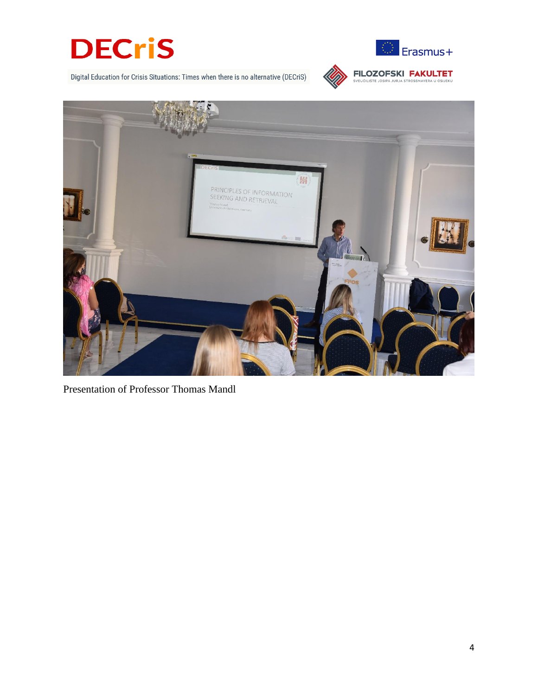









Presentation of Professor Thomas Mandl